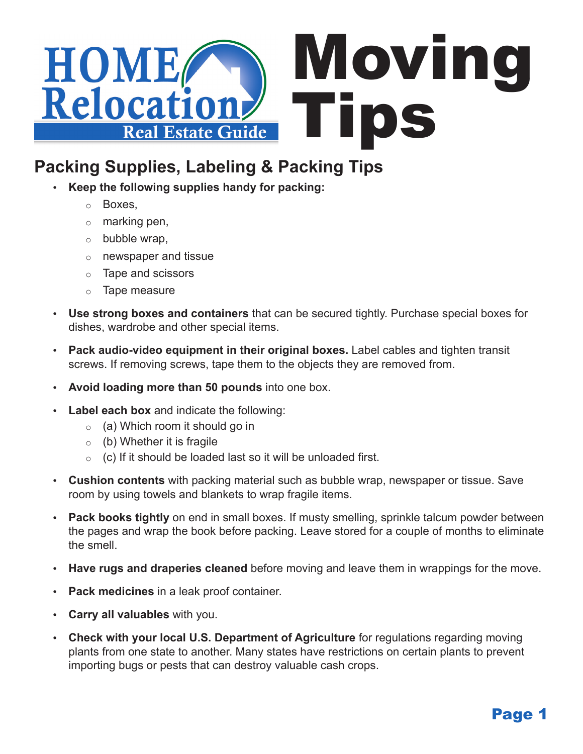

# **Packing Supplies, Labeling & Packing Tips**

- Keep the following supplies handy for packing:
	- o Boxes,
	- $\circ$  marking pen,
	- $\circ$  bubble wrap,
	- $\circ$  newspaper and tissue
	- o Tape and scissors
	- $\circ$  Tape measure
- • **Use strong boxes and containers** that can be secured tightly. Purchase special boxes for dishes, wardrobe and other special items.
- • **Pack audio-video equipment in their original boxes.** Label cables and tighten transit screws. If removing screws, tape them to the objects they are removed from.
- **Avoid loading more than 50 pounds into one box.**
- **Label each box** and indicate the following:
	- $\circ$  (a) Which room it should go in
	- $\circ$  (b) Whether it is fragile
	- $\circ$  (c) If it should be loaded last so it will be unloaded first.
- **Cushion contents** with packing material such as bubble wrap, newspaper or tissue. Save room by using towels and blankets to wrap fragile items.
- **Pack books tightly** on end in small boxes. If musty smelling, sprinkle talcum powder between the pages and wrap the book before packing. Leave stored for a couple of months to eliminate the smell.
- **Have rugs and draperies cleaned** before moving and leave them in wrappings for the move.
- • **Pack medicines** in a leak proof container.
- • **Carry all valuables** with you.
- **Check with your local U.S. Department of Agriculture** for regulations regarding moving plants from one state to another. Many states have restrictions on certain plants to prevent importing bugs or pests that can destroy valuable cash crops.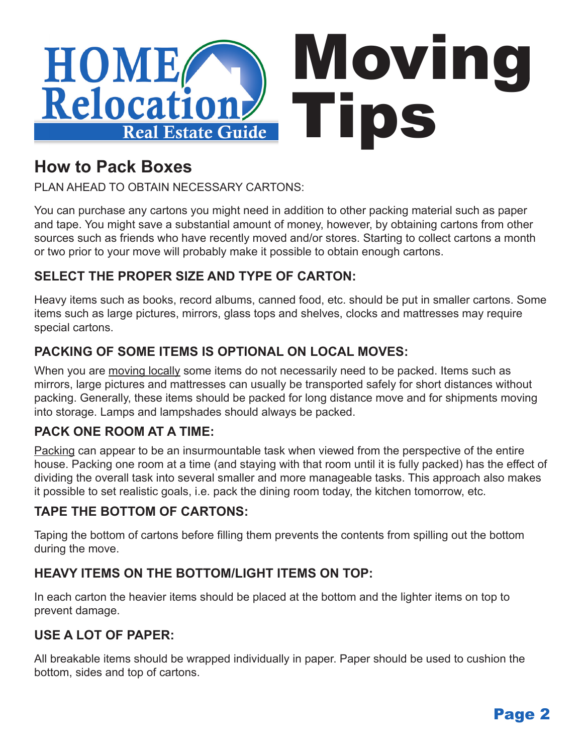

## **How to Pack Boxes**

PLAN AHEAD TO OBTAIN NECESSARY CARTONS:

You can purchase any cartons you might need in addition to other packing material such as paper and tape. You might save a substantial amount of money, however, by obtaining cartons from other sources such as friends who have recently moved and/or stores. Starting to collect cartons a month or two prior to your move will probably make it possible to obtain enough cartons.

## **SELECT THE PROPER SIZE AND TYPE OF CARTON:**

Heavy items such as books, record albums, canned food, etc. should be put in smaller cartons. Some items such as large pictures, mirrors, glass tops and shelves, clocks and mattresses may require special cartons.

## **PACKING OF SOME ITEMS IS OPTIONAL ON LOCAL MOVES:**

When you are moving locally some items do not necessarily need to be packed. Items such as mirrors, large pictures and mattresses can usually be transported safely for short distances without packing. Generally, these items should be packed for long distance move and for shipments moving into storage. Lamps and lampshades should always be packed.

## **PACK ONE ROOM AT A TIME:**

Packing can appear to be an insurmountable task when viewed from the perspective of the entire house. Packing one room at a time (and staying with that room until it is fully packed) has the effect of dividing the overall task into several smaller and more manageable tasks. This approach also makes it possible to set realistic goals, i.e. pack the dining room today, the kitchen tomorrow, etc.

#### **TAPE THE BOTTOM OF CARTONS:**

Taping the bottom of cartons before filling them prevents the contents from spilling out the bottom during the move.

## **HEAVY ITEMS ON THE BOTTOM/LIGHT ITEMS ON TOP:**

In each carton the heavier items should be placed at the bottom and the lighter items on top to prevent damage.

## **USE A LOT OF PAPER:**

All breakable items should be wrapped individually in paper. Paper should be used to cushion the bottom, sides and top of cartons.